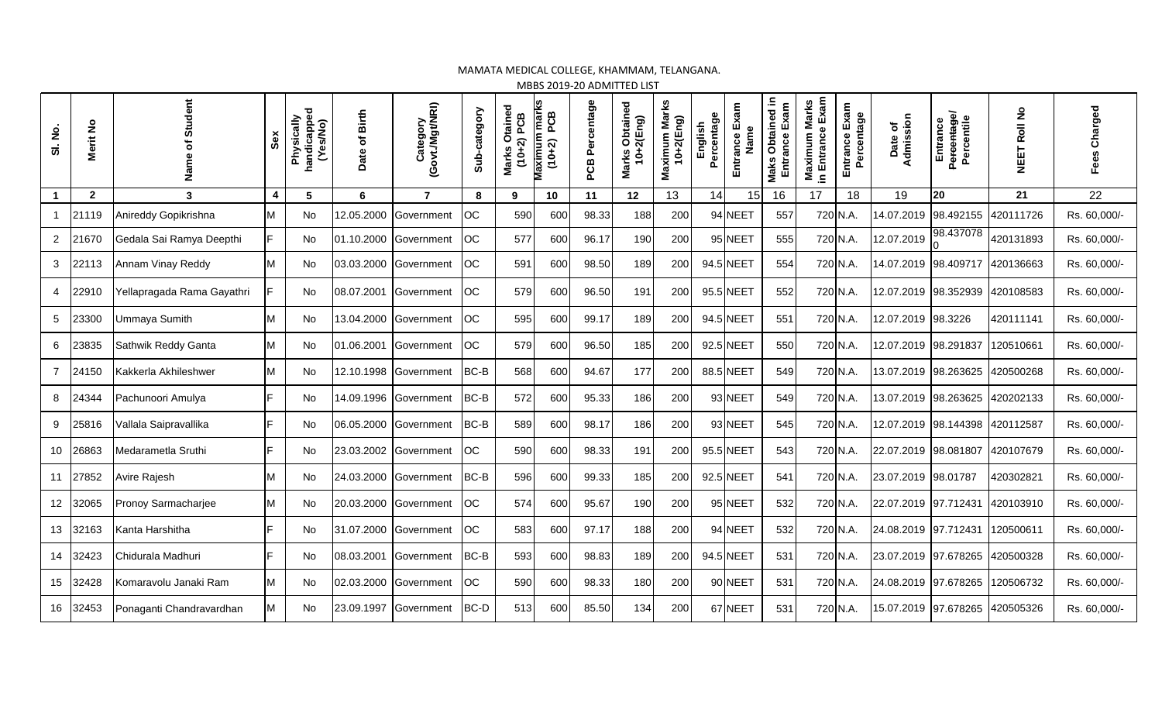## MAMATA MEDICAL COLLEGE, KHAMMAM, TELANGANA.

MBBS 2019-20 ADMITTED LIST

| SI. No.         | Merit No       | Student<br>$\overline{\sigma}$<br>ω<br>Nam | Sex                     | handicapped<br>(Yes/No)<br>Physically | Date of Birth | (Govt./Mgt/NRI)<br>Category | Sub-category | Otained<br>2) PCB<br>$(10+2)$<br>Marks | Maximum marks<br>(10+2) PCB<br>PCB | PCB Percentage | Obtained<br>$-2$ (Eng)<br>Marks<br>$\frac{4}{10}$ | Marks<br>10+2(Eng)<br>Maximum | Percentage<br>English | Exam<br>Name<br>Entrance | Obtained in<br>Exam<br>Entrance<br>Maks | in Entrance Exam<br>Marks<br>Maximum | Entrance Exam<br>Percentage | Date of<br>Admission | Percentage/<br>Percentile<br>Entrance | <b>NEET Roll No</b> | Charged<br>Fees |
|-----------------|----------------|--------------------------------------------|-------------------------|---------------------------------------|---------------|-----------------------------|--------------|----------------------------------------|------------------------------------|----------------|---------------------------------------------------|-------------------------------|-----------------------|--------------------------|-----------------------------------------|--------------------------------------|-----------------------------|----------------------|---------------------------------------|---------------------|-----------------|
|                 | $\overline{2}$ | 3                                          | $\overline{\mathbf{4}}$ | 5                                     | 6             | $\overline{7}$              | 8            | 9                                      | 10                                 | 11             | 12                                                | 13                            | 14                    | 15                       | 16                                      | 17                                   | 18                          | 19                   | 20                                    | 21                  | 22              |
|                 | 21119          | Anireddy Gopikrishna                       | м                       | No                                    | 12.05.2000    | Government                  | <b>OC</b>    | 590                                    | 600                                | 98.33          | 188                                               | 200                           |                       | 94 NEET                  | 557                                     |                                      | 720 N.A.                    | 14.07.2019           | 98.492155                             | 420111726           | Rs. 60,000/-    |
| 2               | 21670          | Gedala Sai Ramya Deepthi                   |                         | No                                    | 01.10.2000    | Government                  | <b>OC</b>    | 577                                    | 600                                | 96.17          | 190                                               | 200                           |                       | 95 NEET                  | 555                                     |                                      | 720 N.A.                    | 12.07.2019           | 98.437078                             | 420131893           | Rs. 60,000/-    |
| 3               | 22113          | Annam Vinay Reddy                          |                         | No                                    | 03.03.2000    | Government                  | <b>OC</b>    | 591                                    | 600                                | 98.50          | 189                                               | 200                           |                       | 94.5 NEET                | 554                                     |                                      | 720 N.A.                    | 14.07.2019           | 98.409717                             | 420136663           | Rs. 60,000/-    |
| 4               | 22910          | Yellapragada Rama Gayathri                 |                         | No                                    | 08.07.2001    | Government                  | <b>OC</b>    | 579                                    | 600                                | 96.50          | 191                                               | 200                           |                       | 95.5 NEET                | 552                                     |                                      | 720 N.A.                    | 12.07.2019 98.352939 |                                       | 420108583           | Rs. 60,000/-    |
| $5\phantom{.0}$ | 23300          | Ummaya Sumith                              |                         | <b>No</b>                             | 13.04.2000    | Government                  | <b>OC</b>    | 595                                    | 600                                | 99.17          | 189                                               | 200                           |                       | 94.5 NEET                | 551                                     |                                      | 720 N.A.                    | 12.07.2019 98.3226   |                                       | 420111141           | Rs. 60,000/-    |
| 6               | 23835          | Sathwik Reddy Ganta                        | М                       | <b>No</b>                             | 01.06.2001    | Government                  | <b>OC</b>    | 579                                    | 600                                | 96.50          | 185                                               | 200                           |                       | 92.5 NEET                | 550                                     |                                      | 720 N.A.                    | 12.07.2019 98.291837 |                                       | 120510661           | Rs. 60,000/-    |
| $\overline{7}$  | 24150          | Kakkerla Akhileshwer                       | М                       | No                                    | 12.10.1998    | Government                  | BC-B         | 568                                    | 600                                | 94.67          | 177                                               | 200                           |                       | 88.5 NEET                | 549                                     |                                      | 720 N.A.                    | 13.07.2019 98.263625 |                                       | 420500268           | Rs. 60,000/-    |
| 8               | 24344          | Pachunoori Amulya                          |                         | <b>No</b>                             | 14.09.1996    | Government                  | BC-B         | 572                                    | 600                                | 95.33          | 186                                               | 200                           |                       | 93 NEET                  | 549                                     |                                      | 720 N.A.                    | 13.07.2019 98.263625 |                                       | 420202133           | Rs. 60,000/-    |
| 9               | 25816          | Vallala Saipravallika                      |                         | No                                    | 06.05.2000    | Government                  | BC-B         | 589                                    | 600                                | 98.17          | 186                                               | 200                           |                       | 93 NEET                  | 545                                     |                                      | 720 N.A.                    | 12.07.2019 98.144398 |                                       | 420112587           | Rs. 60,000/-    |
| 10              | 26863          | Medarametla Sruthi                         |                         | <b>No</b>                             | 23.03.2002    | Government                  | <b>OC</b>    | 590                                    | 600                                | 98.33          | 191                                               | 200                           |                       | 95.5 NEET                | 543                                     |                                      | 720 N.A.                    | 22.07.2019 98.081807 |                                       | 420107679           | Rs. 60,000/-    |
| 11              | 27852          | Avire Rajesh                               |                         | No                                    | 24.03.2000    | Government                  | BC-B         | 596                                    | 600                                | 99.33          | 185                                               | <b>200</b>                    |                       | 92.5 NEET                | 541                                     |                                      | 720 N.A.                    | 23.07.2019 98.01787  |                                       | 420302821           | Rs. 60,000/-    |
| 12              | 32065          | Pronoy Sarmacharjee                        | М                       | No                                    | 20.03.2000    | Government                  | OC           | 574                                    | 600                                | 95.67          | 190                                               | 200                           |                       | 95 NEET                  | 532                                     |                                      | 720 N.A.                    | 22.07.2019 97.712431 |                                       | 420103910           | Rs. 60,000/-    |
| 13              | 32163          | Kanta Harshitha                            |                         | No                                    | 31.07.2000    | Government                  | <b>OC</b>    | 583                                    | 600                                | 97.17          | 188                                               | 200                           |                       | 94 NEET                  | 532                                     | 720 N.A.                             |                             | 24.08.2019 97.712431 |                                       | 120500611           | Rs. 60,000/-    |
| 14              | 32423          | Chidurala Madhuri                          |                         | No                                    | 08.03.2001    | Government                  | BC-B         | 593                                    | 600                                | 98.83          | 189                                               | 200                           |                       | 94.5 NEET                | 531                                     |                                      | 720 N.A.                    | 23.07.2019 97.678265 |                                       | 420500328           | Rs. 60,000/-    |
| 15              | 32428          | Komaravolu Janaki Ram                      | М                       | <b>No</b>                             | 02.03.2000    | Government                  | <b>OC</b>    | 590                                    | 600                                | 98.33          | 180                                               | 200                           |                       | 90 NEET                  | 531                                     |                                      | 720 N.A.                    | 24.08.2019 97.678265 |                                       | 120506732           | Rs. 60,000/-    |
| 16              | 32453          | Ponaganti Chandravardhan                   | М                       | <b>No</b>                             | 23.09.1997    | Government                  | BC-D         | 513                                    | 600                                | 85.50          | 134                                               | 200                           |                       | 67 NEET                  | 531                                     |                                      | 720 N.A.                    | 15.07.2019 97.678265 |                                       | 420505326           | Rs. 60,000/-    |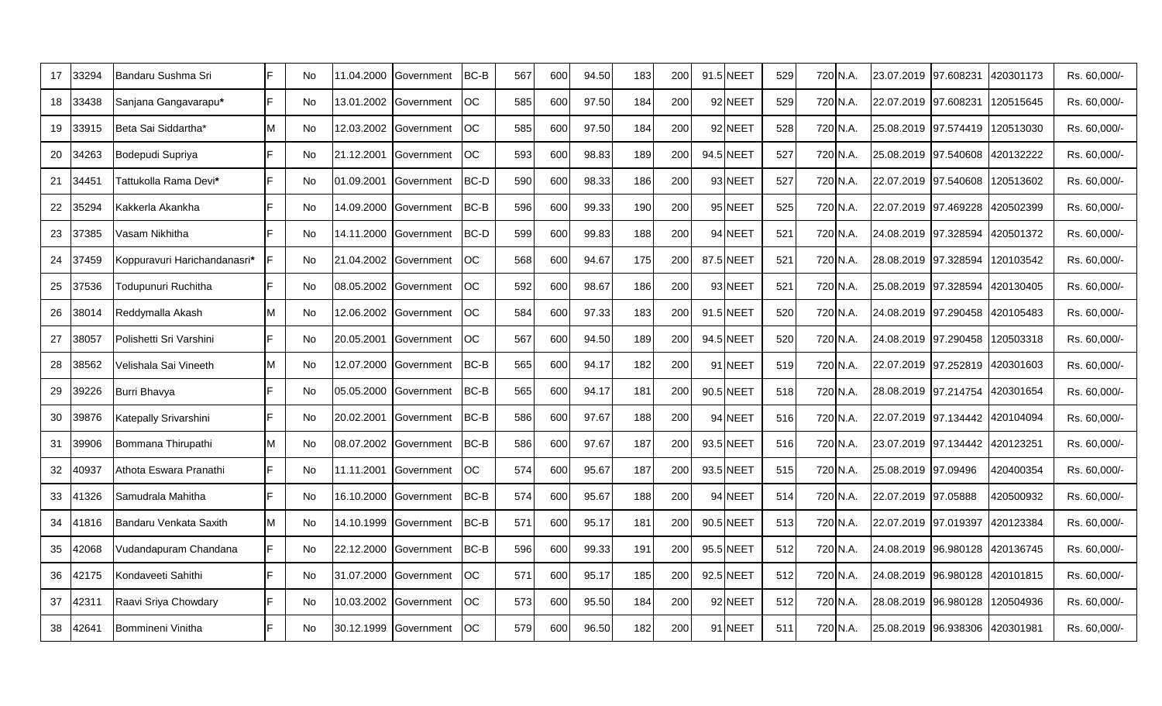| 17 | 33294 | Bandaru Sushma Sri           | IF  | No        | 11.04.2000 | Government            | BC-B        | 567 | 600 | 94.50 | 183 | 200 | 91.5 NEET | 529 | 720 N.A. | 23.07.2019                         | 97.608231                      | 420301173            | Rs. 60.000/- |
|----|-------|------------------------------|-----|-----------|------------|-----------------------|-------------|-----|-----|-------|-----|-----|-----------|-----|----------|------------------------------------|--------------------------------|----------------------|--------------|
| 18 | 3438  | Sanjana Gangavarapu*         | E   | No        | 13.01.2002 | Government            | <b>OC</b>   | 585 | 600 | 97.50 | 184 | 200 | 92 NEET   | 529 | 720 N.A. | 22.07.2019                         | 97.608231                      | 120515645            | Rs. 60,000/- |
| 19 | 33915 | Beta Sai Siddartha*          | M   | No        | 12.03.2002 | Government            | <b>OC</b>   | 585 | 600 | 97.50 | 184 | 200 | 92 NEET   | 528 | 720 N.A. | 25.08.2019                         | 97.574419                      | 120513030            | Rs. 60,000/- |
| 20 | 34263 | Bodepudi Supriya             | E   | No        | 21.12.2001 | Government            | <b>OC</b>   | 593 | 600 | 98.83 | 189 | 200 | 94.5 NEET | 527 | 720 N.A. |                                    | 25.08.2019 97.540608 420132222 |                      | Rs. 60,000/- |
| 21 | 34451 | Tattukolla Rama Devi*        | IF  | No        | 01.09.2001 | Government            | <b>BC-D</b> | 590 | 600 | 98.33 | 186 | 200 | 93 NEET   | 527 | 720 N.A. | 22.07.2019 97.540608               |                                | 120513602            | Rs. 60,000/- |
| 22 | 35294 | Kakkerla Akankha             | E   | <b>No</b> | 14.09.2000 | Government            | BC-B        | 596 | 600 | 99.33 | 190 | 200 | 95 NEET   | 525 | 720 N.A. | 22.07.2019 97.469228               |                                | 420502399            | Rs. 60,000/- |
| 23 | 37385 | √asam Nikhitha               |     | No        | 14.11.2000 | Government            | BC-D        | 599 | 600 | 99.83 | 188 | 200 | 94 NEET   | 521 | 720 N.A. | 24.08.2019                         | 97.328594                      | 420501372            | Rs. 60,000/- |
| 24 | 37459 | Koppuravuri Harichandanasri* |     | <b>No</b> |            | 21.04.2002 Government | <b>OC</b>   | 568 | 600 | 94.67 | 175 | 200 | 87.5 NEET | 521 | 720 N.A. | 28.08.2019 97.328594               |                                | 120103542            | Rs. 60,000/- |
| 25 | 37536 | Todupunuri Ruchitha          | IF  | No        | 08.05.2002 | Government            | <b>OC</b>   | 592 | 600 | 98.67 | 186 | 200 | 93 NEET   | 521 | 720 N.A. | 25.08.2019 97.328594 420130405     |                                |                      | Rs. 60,000/- |
| 26 | 38014 | Reddymalla Akash             |     | No        | 12.06.2002 | Government            | <b>OC</b>   | 584 | 600 | 97.33 | 183 | 200 | 91.5 NEET | 520 | 720 N.A. | 24.08.2019 97.290458               |                                | 420105483            | Rs. 60,000/- |
| 27 | 38057 | Polishetti Sri Varshini      | IF. | <b>No</b> | 20.05.2001 | Government            | <b>OC</b>   | 567 | 600 | 94.50 | 189 | 200 | 94.5 NEET | 520 | 720 N.A. | 24.08.2019 97.290458 120503318     |                                |                      | Rs. 60,000/- |
| 28 | 38562 | √elishala Sai Vineeth        | M   | No        |            | 12.07.2000 Government | BC-B        | 565 | 600 | 94.17 | 182 | 200 | 91 NEET   | 519 | 720 N.A. | 22.07.2019 97.252819 420301603     |                                |                      | Rs. 60,000/- |
| 29 | 39226 | Burri Bhavya                 | E   | No        | 05.05.2000 | <b>Government</b>     | <b>BC-B</b> | 565 | 600 | 94.17 | 181 | 200 | 90.5 NEET | 518 | 720 N.A. | 28.08.2019 97.214754               |                                | 420301654            | Rs. 60.000/- |
| 30 | 39876 | Katepally Srivarshini        | E   | <b>No</b> | 20.02.2001 | Government            | BC-B        | 586 | 600 | 97.67 | 188 | 200 | 94 NEET   | 516 | 720 N.A. | 22.07.2019 97.134442 420104094     |                                |                      | Rs. 60,000/- |
| 31 | 39906 | Bommana Thirupathi           |     | No        |            | 08.07.2002 Government | BC-B        | 586 | 600 | 97.67 | 187 | 200 | 93.5 NEET | 516 | 720 N.A. | 23.07.2019   97.134442   420123251 |                                |                      | Rs. 60,000/- |
| 32 | 10937 | Athota Eswara Pranathi       | IF  | <b>No</b> | 11.11.2001 | Government            | <b>OC</b>   | 574 | 600 | 95.67 | 187 | 200 | 93.5 NEET | 515 | 720 N.A. | 25.08.2019                         | 97.09496                       | 420400354            | Rs. 60,000/- |
| 33 | 11326 | Samudrala Mahitha            | E   | No        | 16.10.2000 | Government            | BC-B        | 574 | 600 | 95.67 | 188 | 200 | 94 NEET   | 514 | 720 N.A. | 22.07.2019 97.05888                |                                | 420500932            | Rs. 60,000/- |
| 34 | 41816 | Bandaru Venkata Saxith       | M   | <b>No</b> | 14.10.1999 | Government            | BC-B        | 571 | 600 | 95.17 | 181 | 200 | 90.5 NEET | 513 | 720 N.A. | 22.07.2019 97.019397               |                                | 420123384            | Rs. 60,000/- |
| 35 | 12068 | Vudandapuram Chandana        |     | No        | 22.12.2000 | Government            | BC-B        | 596 | 600 | 99.33 | 191 | 200 | 95.5 NEET | 512 | 720 N.A. | 24.08.2019                         | 96.980128 420136745            |                      | Rs. 60,000/- |
| 36 | 42175 | Kondaveeti Sahithi           |     | No        | 31.07.2000 | Government            | <b>OC</b>   | 571 | 600 | 95.17 | 185 | 200 | 92.5 NEET | 512 | 720 N.A. | 24.08.2019                         |                                | 96.980128  420101815 | Rs. 60,000/- |
| 37 | 42311 | Raavi Sriya Chowdary         | IF. | No        | 10.03.2002 | Government            | <b>OC</b>   | 573 | 600 | 95.50 | 184 | 200 | 92 NEET   | 512 | 720 N.A. | 28.08.2019                         |                                | 96.980128 120504936  | Rs. 60,000/- |
| 38 | 42641 | Bommineni Vinitha            | IF. | No        |            | 30.12.1999 Government | ЮC          | 579 | 600 | 96.50 | 182 | 200 | 91 NEET   | 511 | 720 N.A. |                                    | 25.08.2019 96.938306 420301981 |                      | Rs. 60,000/- |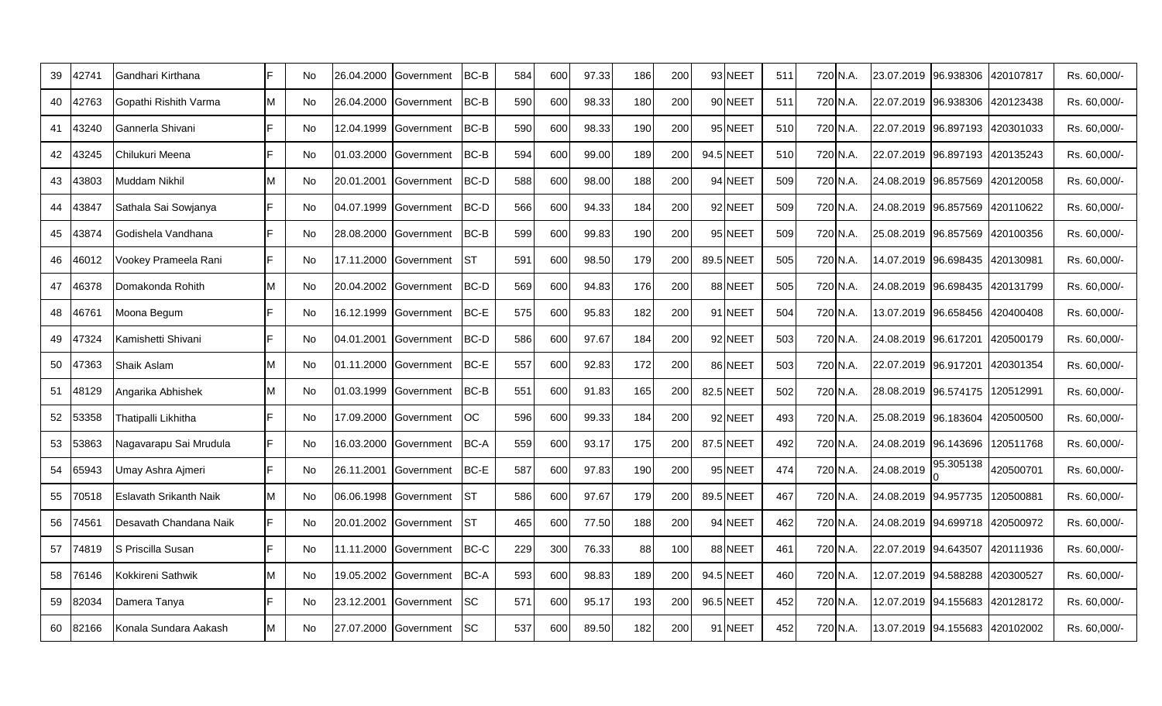| 39 | 12741 | Gandhari Kirthana      |                | No. | 26.04.2000 | Government | <b>BC-B</b> | 584 | 600 | 97.33 | 186 | 200 | 93 NEET   | 511 |          | 720 N.A. | 23.07.2019 96.938306             |           | 420107817 | Rs. 60,000/- |
|----|-------|------------------------|----------------|-----|------------|------------|-------------|-----|-----|-------|-----|-----|-----------|-----|----------|----------|----------------------------------|-----------|-----------|--------------|
| 40 | 12763 | Gopathi Rishith Varma  |                | No  | 26.04.2000 | Government | BC-B        | 590 | 600 | 98.33 | 180 | 200 | 90 NEET   | 511 |          | 720 N.A. | 22.07.2019 96.938306             |           | 420123438 | Rs. 60,000/- |
| 41 | 13240 | Gannerla Shivani       |                | No  | 12.04.1999 | Government | BC-B        | 590 | 600 | 98.33 | 190 | 200 | 95 NEET   | 510 |          | 720 N.A. | 22.07.2019 96.897193 420301033   |           |           | Rs. 60,000/- |
| 42 | 13245 | Chilukuri Meena        | Е              | No. | 01.03.2000 | Government | BC-B        | 594 | 600 | 99.00 | 189 | 200 | 94.5 NEET | 510 |          | 720 N.A. | 22.07.2019 96.897193 420135243   |           |           | Rs. 60,000/- |
| 43 | 13803 | Muddam Nikhil          |                | No  | 20.01.2001 | Government | <b>BC-D</b> | 588 | 600 | 98.00 | 188 | 200 | 94 NEET   | 509 |          | 720 N.A. | 24.08.2019 96.857569             |           | 420120058 | Rs. 60,000/- |
| 44 | 13847 | Sathala Sai Sowjanya   |                | No. | 04.07.1999 | Government | <b>BC-D</b> | 566 | 600 | 94.33 | 184 | 200 | 92 NEET   | 509 |          | 720 N.A. | 24.08.2019 96.857569             |           | 420110622 | Rs. 60,000/- |
| 45 | 13874 | Godishela Vandhana     |                | No  | 28.08.2000 | Government | BC-B        | 599 | 600 | 99.83 | 190 | 200 | 95 NEET   | 509 |          | 720 N.A. | 25.08.2019 96.857569             |           | 420100356 | Rs. 60,000/- |
| 46 | 16012 | Vookey Prameela Rani   |                | No. | 17.11.2000 | Government | <b>I</b> ST | 591 | 600 | 98.50 | 179 | 200 | 89.5 NEET | 505 |          | 720 N.A. | 14.07.2019 96.698435             |           | 420130981 | Rs. 60,000/- |
| 47 | 46378 | Domakonda Rohith       |                | No. | 20.04.2002 | Government | <b>BC-D</b> | 569 | 600 | 94.83 | 176 | 200 | 88 NEET   | 505 | 720 N.A. |          | 24.08.2019 96.698435 420131799   |           |           | Rs. 60,000/- |
| 48 | 16761 | Moona Begum            |                | No  | 16.12.1999 | Government | <b>BC-E</b> | 575 | 600 | 95.83 | 182 | 200 | 91 NEET   | 504 |          | 720 N.A. | 13.07.2019 96.658456             |           | 420400408 | Rs. 60,000/- |
| 49 | 17324 | Kamishetti Shivani     | $\blacksquare$ | No. | 04.01.2001 | Government | <b>BC-D</b> | 586 | 600 | 97.67 | 184 | 200 | 92 NEET   | 503 |          | 720 N.A. | 24.08.2019 96.617201             |           | 420500179 | Rs. 60,000/- |
| 50 | 17363 | Shaik Aslam            |                | No. | 01.11.2000 | Government | <b>BC-E</b> | 557 | 600 | 92.83 | 172 | 200 | 86 NEET   | 503 |          | 720 N.A. |                                  |           | 420301354 | Rs. 60,000/- |
| 51 | 18129 | Angarika Abhishek      |                | No. | 01.03.1999 | Government | BC-B        | 551 | 600 | 91.83 | 165 | 200 | 82.5 NEET | 502 |          | 720 N.A. | 28.08.2019 96.574175             |           | 120512991 | Rs. 60,000/- |
| 52 | 53358 | Thatipalli Likhitha    |                | No. | 17.09.2000 | Government | OC          | 596 | 600 | 99.33 | 184 | 200 | 92 NEET   | 493 | 720 N.A. |          | 25.08.2019 96.183604             |           | 420500500 | Rs. 60,000/- |
| 53 | 53863 | Nagavarapu Sai Mrudula | E              | No  | 16.03.2000 | Government | <b>BC-A</b> | 559 | 600 | 93.17 | 175 | 200 | 87.5 NEET | 492 |          | 720 N.A. | 24.08.2019  96.143696            |           | 120511768 | Rs. 60,000/- |
| 54 | 65943 | Umay Ashra Aimeri      |                | No  | 26.11.2001 | Government | BC-E        | 587 | 600 | 97.83 | 190 | 200 | 95 NEET   | 474 |          | 720 N.A. | 24.08.2019                       | 95.305138 | 420500701 | Rs. 60,000/- |
| 55 | 70518 | Eslavath Srikanth Naik |                | No. | 06.06.1998 | Government | Ist         | 586 | 600 | 97.67 | 179 | 200 | 89.5 NEET | 467 |          | 720 N.A. | 24.08.2019 94.957735             |           | 120500881 | Rs. 60,000/- |
| 56 | 74561 | Desavath Chandana Naik | E              | No. | 20.01.2002 | Government | <b>I</b> ST | 465 | 600 | 77.50 | 188 | 200 | 94 NEET   | 462 |          | 720 N.A. | 24.08.2019 94.699718             |           | 420500972 | Rs. 60,000/- |
| 57 | 74819 | S Priscilla Susan      |                | No. | 11.11.2000 | Government | BC-C        | 229 | 300 | 76.33 | 88  | 100 | 88 NEET   | 461 |          | 720 N.A. | 22.07.2019 94.643507             |           | 420111936 | Rs. 60,000/- |
| 58 | 76146 | Kokkireni Sathwik      |                | No  | 19.05.2002 | Government | <b>BC-A</b> | 593 | 600 | 98.83 | 189 | 200 | 94.5 NEET | 460 |          | 720 N.A. | 12.07.2019 94.588288             |           | 420300527 | Rs. 60,000/- |
| 59 | 32034 | Damera Tanya           |                | No. | 23.12.2001 | Government | <b>SC</b>   | 571 | 600 | 95.17 | 193 | 200 | 96.5 NEET | 452 |          | 720 N.A. | 12.07.2019  94.155683  420128172 |           |           | Rs. 60,000/- |
| 60 | 82166 | Konala Sundara Aakash  |                | No. | 27.07.2000 | Government | <b>SC</b>   | 537 | 600 | 89.50 | 182 | 200 | 91 NEET   | 452 |          | 720 N.A. | 13.07.2019  94.155683  420102002 |           |           | Rs. 60,000/- |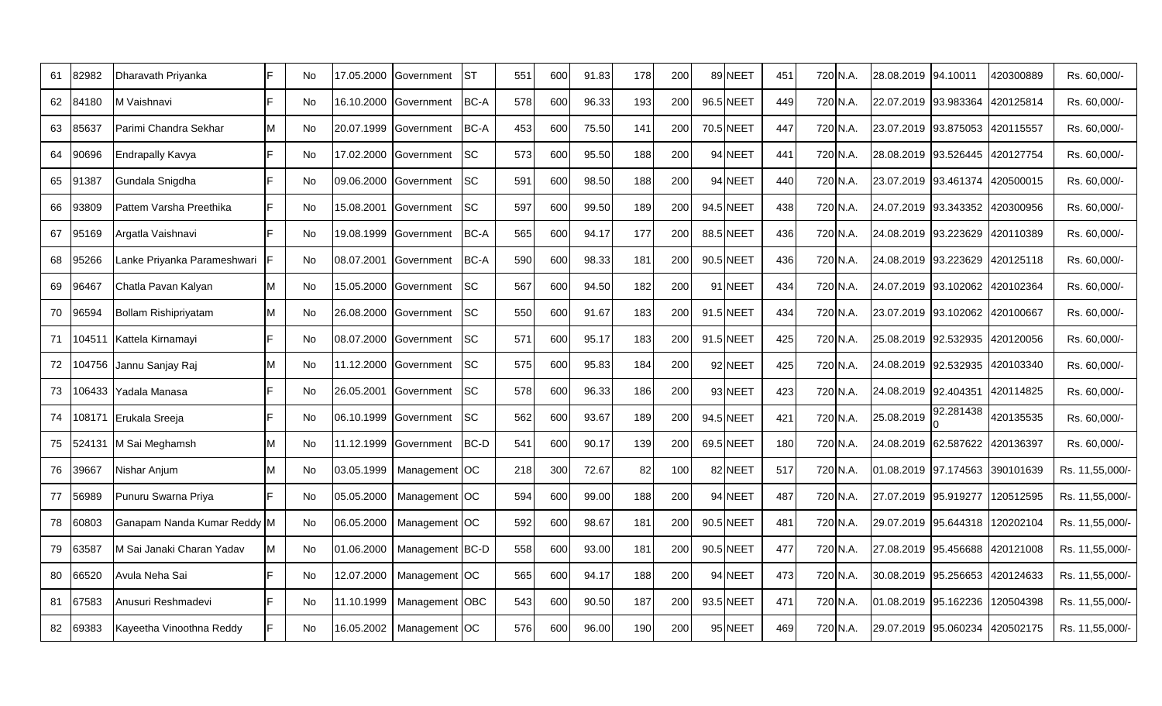| 61 | 82982 | Dharavath Priyanka          |    | No        | 17.05.2000 | Government            | <b>IST</b> | 551 | 600 | 91.83 | 178 | 200 | 89 NEET   | 451 | 720 N.A. | 28.08.2019 94.10011            |                     | 420300889 | Rs. 60.000/-    |
|----|-------|-----------------------------|----|-----------|------------|-----------------------|------------|-----|-----|-------|-----|-----|-----------|-----|----------|--------------------------------|---------------------|-----------|-----------------|
| 62 | 34180 | M Vaishnavi                 |    | <b>No</b> | 16.10.2000 | Government            | BC-A       | 578 | 600 | 96.33 | 193 | 200 | 96.5 NEET | 449 | 720 N.A. | 22.07.2019 93.983364           |                     | 420125814 | Rs. 60,000/-    |
| 63 | 85637 | Parimi Chandra Sekhar       | M  | No        | 20.07.1999 | Government            | BC-A       | 453 | 600 | 75.50 | 141 | 200 | 70.5 NEET | 447 | 720 N.A. | 23.07.2019 93.875053 420115557 |                     |           | Rs. 60,000/-    |
| 64 | 90696 | <b>Endrapally Kavya</b>     | E  | No        | 17.02.2000 | Government            | <b>SC</b>  | 573 | 600 | 95.50 | 188 | 200 | 94 NEET   | 441 | 720 N.A. | 28.08.2019 93.526445 420127754 |                     |           | Rs. 60,000/-    |
| 65 | 91387 | Gundala Snigdha             |    | No        | 09.06.2000 | Government            | <b>SC</b>  | 591 | 600 | 98.50 | 188 | 200 | 94 NEET   | 440 | 720 N.A. | 23.07.2019 93.461374           |                     | 420500015 | Rs. 60,000/-    |
| 66 | 93809 | Pattem Varsha Preethika     | E  | <b>No</b> | 15.08.2001 | Government            | <b>SC</b>  | 597 | 600 | 99.50 | 189 | 200 | 94.5 NEET | 438 | 720 N.A. |                                |                     | 420300956 | Rs. 60,000/-    |
| 67 | 95169 | Argatla Vaishnavi           |    | No        | 19.08.1999 | Government            | BC-A       | 565 | 600 | 94.17 | 177 | 200 | 88.5 NEET | 436 | 720 N.A. | 24.08.2019 93.223629           |                     | 420110389 | Rs. 60,000/-    |
| 68 | 95266 | Lanke Priyanka Parameshwari |    | <b>No</b> | 08.07.2001 | Government            | BC-A       | 590 | 600 | 98.33 | 181 | 200 | 90.5 NEET | 436 | 720 N.A. | 24.08.2019 93.223629           |                     | 420125118 | Rs. 60,000/-    |
| 69 | 96467 | Chatla Pavan Kalyan         |    | <b>No</b> | 15.05.2000 | Government            | <b>SC</b>  | 567 | 600 | 94.50 | 182 | 200 | 91 NEET   | 434 | 720 N.A. | 24.07.2019 93.102062 420102364 |                     |           | Rs. 60,000/-    |
| 70 | 96594 | Bollam Rishipriyatam        |    | No        | 26.08.2000 | Government            | <b>SC</b>  | 550 | 600 | 91.67 | 183 | 200 | 91.5 NEET | 434 | 720 N.A. | 23.07.2019 93.102062           |                     | 420100667 | Rs. 60,000/-    |
| 71 |       | 104511 Kattela Kirnamayi    |    | <b>No</b> | 08.07.2000 | Government            | <b>SC</b>  | 571 | 600 | 95.17 | 183 | 200 | 91.5 NEET | 425 | 720 N.A. | 25.08.2019 92.532935 420120056 |                     |           | Rs. 60,000/-    |
| 72 |       | 04756 Jannu Sanjay Raj      |    | No        |            | 11.12.2000 Government | <b>SC</b>  | 575 | 600 | 95.83 | 184 | 200 | 92 NEET   | 425 | 720 N.A. | 24.08.2019 92.532935 420103340 |                     |           | Rs. 60,000/-    |
| 73 |       | 06433 Yadala Manasa         |    | No        | 26.05.2001 | <b>Government</b>     | <b>SC</b>  | 578 | 600 | 96.33 | 186 | 200 | 93 NEET   | 423 | 720 N.A. | 24.08.2019 92.404351           |                     | 420114825 | Rs. 60,000/-    |
| 74 |       | 08171 Erukala Sreeja        |    | <b>No</b> | 06.10.1999 | Government            | <b>SC</b>  | 562 | 600 | 93.67 | 189 | 200 | 94.5 NEET | 421 | 720 N.A. | 25.08.2019                     | 92.281438           | 420135535 | Rs. 60,000/-    |
| 75 |       | 524131 M Sai Meghamsh       |    | <b>No</b> | 11.12.1999 | Government            | BC-D       | 541 | 600 | 90.17 | 139 | 200 | 69.5 NEET | 180 | 720 N.A. | 24.08.2019 62.587622           |                     | 420136397 | Rs. 60,000/-    |
| 76 | 39667 | Nishar Anjum                | ΙM | <b>No</b> | 03.05.1999 | Management OC         |            | 218 | 300 | 72.67 | 82  | 100 | 82 NEET   | 517 | 720 N.A. | 01.08.2019 97.174563 390101639 |                     |           | Rs. 11,55,000/- |
| 77 | 56989 | Punuru Swarna Priya         |    | <b>No</b> | 05.05.2000 | Management OC         |            | 594 | 600 | 99.00 | 188 | 200 | 94 NEET   | 487 | 720 N.A. | 27.07.2019 95.919277           |                     | 120512595 | Rs. 11,55,000/- |
| 78 | 60803 | Ganapam Nanda Kumar Reddy M |    | <b>No</b> | 06.05.2000 | Management OC         |            | 592 | 600 | 98.67 | 181 | 200 | 90.5 NEET | 481 | 720 N.A. | 29.07.2019 95.644318           |                     | 120202104 | Rs. 11,55,000/- |
| 79 | 63587 | M Sai Janaki Charan Yadav   |    | No        | 01.06.2000 | Management BC-D       |            | 558 | 600 | 93.00 | 181 | 200 | 90.5 NEET | 477 | 720 N.A. | 27.08.2019 95.456688 420121008 |                     |           | Rs. 11,55,000/- |
| 80 | 66520 | Avula Neha Sai              |    | No        | 12.07.2000 | Management OC         |            | 565 | 600 | 94.17 | 188 | 200 | 94 NEET   | 473 | 720 N.A. | 30.08.2019                     | 95.256653 420124633 |           | Rs. 11,55,000/- |
| 81 | 67583 | Anusuri Reshmadevi          |    | <b>No</b> | 11.10.1999 | Management            | <b>OBC</b> | 543 | 600 | 90.50 | 187 | 200 | 93.5 NEET | 471 | 720 N.A. | 01.08.2019 95.162236           |                     | 120504398 | Rs. 11,55,000/- |
| 82 | 69383 | Kayeetha Vinoothna Reddy    |    | No        | 16.05.2002 | Management OC         |            | 576 | 600 | 96.00 | 190 | 200 | 95 NEET   | 469 | 720 N.A. | 29.07.2019 95.060234 420502175 |                     |           | Rs. 11,55,000/- |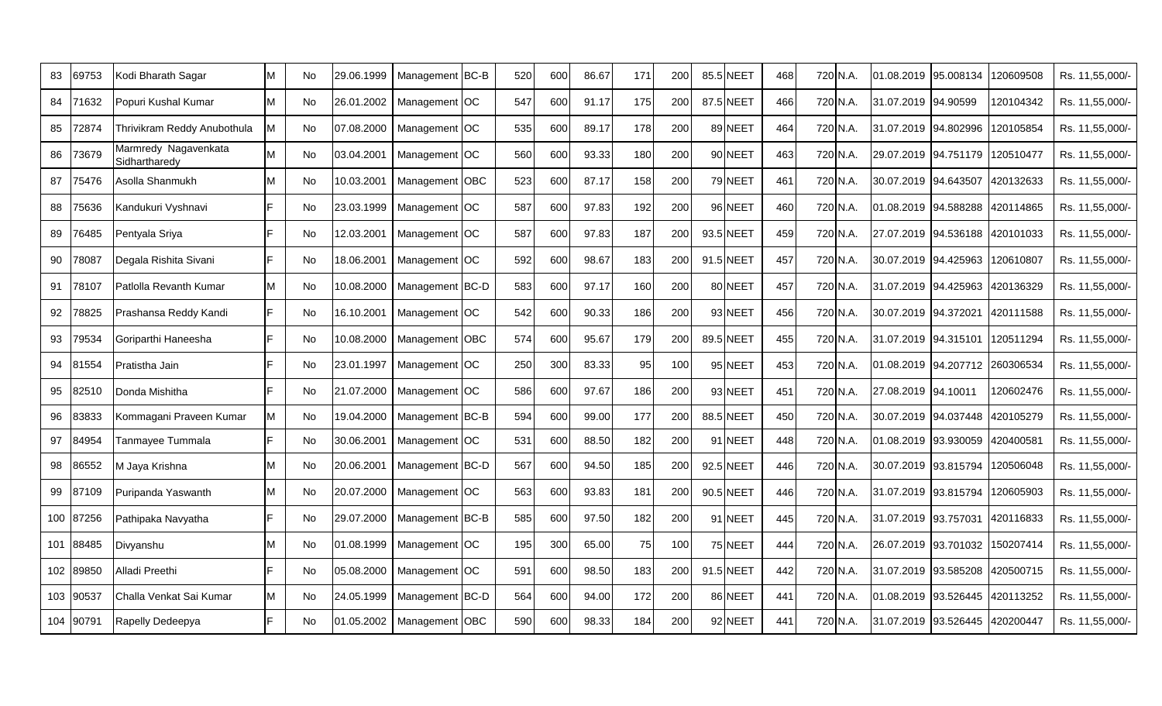| 83 | 69753     | Kodi Bharath Sagar                    | No        | 29.06.1999 | Management BC-B |          | 520 | 600 | 86.67 | 171 | 200 | 85.5 NEET | 468 |          | 720 N.A. | 01.08.2019                     | 95.008134 | 120609508 | Rs. 11,55,000/  |
|----|-----------|---------------------------------------|-----------|------------|-----------------|----------|-----|-----|-------|-----|-----|-----------|-----|----------|----------|--------------------------------|-----------|-----------|-----------------|
| 84 | 71632     | Popuri Kushal Kumar                   | No        | 26.01.2002 | Management OC   |          | 547 | 600 | 91.17 | 175 | 200 | 87.5 NEET | 466 |          | 720 N.A. | 31.07.2019                     | 94.90599  | 120104342 | Rs. 11,55,000/- |
| 85 | 72874     | Thrivikram Reddy Anubothula           | No        | 07.08.2000 | Management      | $ _{OC}$ | 535 | 600 | 89.17 | 178 | 200 | 89 NEET   | 464 |          | 720 N.A. | 31.07.2019                     | 94.802996 | 120105854 | Rs. 11,55,000/- |
| 86 | 73679     | Marmredy Nagavenkata<br>Sidhartharedy | No        | 03.04.2001 | Management OC   |          | 560 | 600 | 93.33 | 180 | 200 | 90 NEET   | 463 |          | 720 N.A. | 29.07.2019 94.751179           |           | 120510477 | Rs. 11,55,000/  |
| 87 | 75476     | Asolla Shanmukh                       | No        | 10.03.2001 | Management OBC  |          | 523 | 600 | 87.17 | 158 | 200 | 79 NEET   | 461 | 720 N.A. |          | 30.07.2019 94.643507           |           | 420132633 | Rs. 11,55,000/- |
| 88 | 75636     | Kandukuri Vyshnavi                    | No        | 23.03.1999 | Management OC   |          | 587 | 600 | 97.83 | 192 | 200 | 96 NEET   | 460 |          | 720 N.A. | 01.08.2019 94.588288           |           | 420114865 | Rs. 11,55,000/  |
| 89 | 76485     | Pentyala Sriya                        | No        | 12.03.2001 | Management OC   |          | 587 | 600 | 97.83 | 187 | 200 | 93.5 NEET | 459 |          | 720 N.A. | 27.07.2019                     | 94.536188 | 420101033 | Rs. 11,55,000/  |
| 90 | 78087     | Degala Rishita Sivani                 | <b>No</b> | 18.06.2001 | Management OC   |          | 592 | 600 | 98.67 | 183 | 200 | 91.5 NEET | 457 |          | 720 N.A. | 30.07.2019 94.425963           |           | 120610807 | Rs. 11,55,000/- |
| 91 | 78107     | Patlolla Revanth Kumar                | No.       | 10.08.2000 | Management BC-D |          | 583 | 600 | 97.17 | 160 | 200 | 80 NEET   | 457 |          | 720 N.A. | 31.07.2019                     | 94.425963 | 420136329 | Rs. 11,55,000/- |
| 92 | 78825     | Prashansa Reddy Kandi                 | No        | 16.10.2001 | Management OC   |          | 542 | 600 | 90.33 | 186 | 200 | 93 NEET   | 456 |          | 720 N.A. | 30.07.2019 94.372021           |           | 420111588 | Rs. 11,55,000/- |
| 93 | 79534     | Goriparthi Haneesha                   | No        | 10.08.2000 | Management OBC  |          | 574 | 600 | 95.67 | 179 | 200 | 89.5 NEET | 455 |          | 720 N.A. | 31.07.2019 94.315101           |           | 120511294 | Rs. 11,55,000/  |
| 94 | 81554     | Pratistha Jain                        | No        | 23.01.1997 | Management OC   |          | 250 | 300 | 83.33 | 95  | 100 | 95 NEET   | 453 |          | 720 N.A. | 01.08.2019 94.207712           |           | 260306534 | Rs. 11,55,000/  |
| 95 | 82510     | Donda Mishitha                        | No        | 21.07.2000 | Management OC   |          | 586 | 600 | 97.67 | 186 | 200 | 93 NEET   | 451 |          | 720 N.A. | 27.08.2019 94.10011            |           | 120602476 | Rs. 11,55,000/  |
| 96 | 3833      | Kommagani Praveen Kumar               | No        | 19.04.2000 | Management BC-B |          | 594 | 600 | 99.00 | 177 | 200 | 88.5 NEET | 450 |          | 720 N.A. | 30.07.2019                     | 94.037448 | 420105279 | Rs. 11,55,000/  |
| 97 | 84954     | Tanmayee Tummala                      | <b>No</b> | 30.06.2001 | Management OC   |          | 531 | 600 | 88.50 | 182 | 200 | 91 NEET   | 448 |          | 720 N.A. | 01.08.2019                     | 93.930059 | 420400581 | Rs. 11,55,000/- |
| 98 | 86552     | M Jaya Krishna                        | No        | 20.06.2001 | Management BC-D |          | 567 | 600 | 94.50 | 185 | 200 | 92.5 NEET | 446 |          | 720 N.A. | 30.07.2019                     | 93.815794 | 120506048 | Rs. 11,55,000/  |
| 99 | 87109     | Puripanda Yaswanth                    | No        | 20.07.2000 | Management OC   |          | 563 | 600 | 93.83 | 181 | 200 | 90.5 NEET | 446 |          | 720 N.A. | 31.07.2019                     | 93.815794 | 120605903 | Rs. 11,55,000/  |
|    | 100 87256 | Pathipaka Navyatha                    | No        | 29.07.2000 | Management BC-B |          | 585 | 600 | 97.50 | 182 | 200 | 91 NEET   | 445 |          | 720 N.A. | 31.07.2019 93.757031           |           | 420116833 | Rs. 11,55,000/  |
|    | 101 88485 | Divyanshu                             | No        | 01.08.1999 | Management OC   |          | 195 | 300 | 65.00 | 75  | 100 | 75 NEET   | 444 |          | 720 N.A. | 26.07.2019 93.701032           |           | 150207414 | Rs. 11,55,000/  |
|    | 102 89850 | Alladi Preethi                        | No        | 05.08.2000 | Management OC   |          | 591 | 600 | 98.50 | 183 | 200 | 91.5 NEET | 442 |          | 720 N.A. | 31.07.2019                     | 93.585208 | 420500715 | Rs. 11,55,000/  |
|    | 103 90537 | Challa Venkat Sai Kumar               | <b>No</b> | 24.05.1999 | Management BC-D |          | 564 | 600 | 94.00 | 172 | 200 | 86 NEET   | 441 |          | 720 N.A. | 01.08.2019                     | 93.526445 | 420113252 | Rs. 11,55,000/- |
|    | 104 90791 | Rapelly Dedeepya                      | <b>No</b> | 01.05.2002 | Management OBC  |          | 590 | 600 | 98.33 | 184 | 200 | 92 NEET   | 441 |          | 720 N.A. | 31.07.2019 93.526445 420200447 |           |           | Rs. 11,55,000/  |
|    |           |                                       |           |            |                 |          |     |     |       |     |     |           |     |          |          |                                |           |           |                 |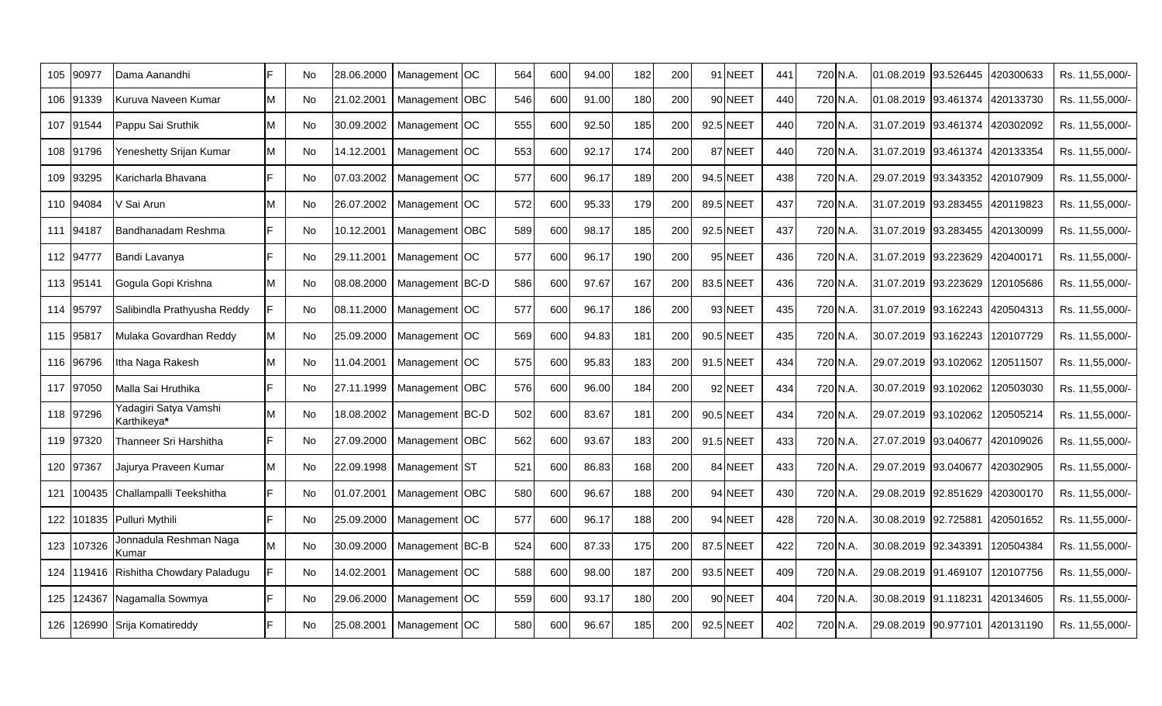| 105  | 90977     | Dama Aanandhi                         |   | No        | 28.06.2000 | Management OC   | 564 | 600 | 94.00 | 182 | 200 | 91 NEET   | 441 | 720 N.A. | 01.08.2019                     | 93.526445 | 420300633 | Rs. 11,55,000/- |
|------|-----------|---------------------------------------|---|-----------|------------|-----------------|-----|-----|-------|-----|-----|-----------|-----|----------|--------------------------------|-----------|-----------|-----------------|
|      | 106 91339 | Kuruva Naveen Kumar                   |   | No        | 21.02.2001 | Management OBC  | 546 | 600 | 91.00 | 180 | 200 | 90 NEET   | 440 | 720 N.A. | 01.08.2019 93.461374 420133730 |           |           | Rs. 11,55,000/- |
|      | 107 91544 | Pappu Sai Sruthik                     |   | No        | 30.09.2002 | Management OC   | 555 | 600 | 92.50 | 185 | 200 | 92.5 NEET | 440 | 720 N.A. | 31.07.2019 93.461374           |           | 420302092 | Rs. 11,55,000/- |
|      | 108 91796 | Yeneshetty Srijan Kumar               | M | No        | 14.12.2001 | Management OC   | 553 | 600 | 92.17 | 174 | 200 | 87 NEET   | 440 | 720 N.A. | 31.07.2019 93.461374 420133354 |           |           | Rs. 11,55,000/- |
|      | 109 93295 | Karicharla Bhavana                    |   | No        | 07.03.2002 | Management OC   | 577 | 600 | 96.17 | 189 | 200 | 94.5 NEET | 438 | 720 N.A. | 29.07.2019 93.343352 420107909 |           |           | Rs. 11,55,000/- |
|      | 110 94084 | V Sai Arun                            |   | No        | 26.07.2002 | Management OC   | 572 | 600 | 95.33 | 179 | 200 | 89.5 NEET | 437 | 720 N.A. | 31.07.2019 93.283455           |           | 420119823 | Rs. 11,55,000/- |
|      | 111 94187 | Bandhanadam Reshma                    |   | No        | 10.12.2001 | Management OBC  | 589 | 600 | 98.17 | 185 | 200 | 92.5 NEET | 437 | 720 N.A. | 31.07.2019 93.283455 420130099 |           |           | Rs. 11,55,000/- |
|      | 112 94777 | Bandi Lavanya                         |   | No        | 29.11.2001 | Management OC   | 577 | 600 | 96.17 | 190 | 200 | 95 NEET   | 436 | 720 N.A. | 31.07.2019 93.223629           |           | 420400171 | Rs. 11,55,000/- |
|      | 113 95141 | Gogula Gopi Krishna                   |   | No        | 08.08.2000 | Management BC-D | 586 | 600 | 97.67 | 167 | 200 | 83.5 NEET | 436 | 720 N.A. | 31.07.2019 93.223629           |           | 120105686 | Rs. 11,55,000/- |
|      | 114 95797 | Salibindla Prathyusha Reddy           |   | <b>No</b> | 08.11.2000 | Management OC   | 577 | 600 | 96.17 | 186 | 200 | 93 NEET   | 435 | 720 N.A. | 31.07.2019 93.162243 420504313 |           |           | Rs. 11,55,000/- |
|      | 115 95817 | Mulaka Govardhan Reddy                | M | <b>No</b> | 25.09.2000 | Management OC   | 569 | 600 | 94.83 | 181 | 200 | 90.5 NEET | 435 | 720 N.A. | 30.07.2019 93.162243           |           | 120107729 | Rs. 11,55,000/- |
|      | 116 96796 | Itha Naga Rakesh                      |   | No        | 11.04.2001 | Management OC   | 575 | 600 | 95.83 | 183 | 200 | 91.5 NEET | 434 | 720 N.A. | 29.07.2019 93.102062           |           | 120511507 | Rs. 11,55,000/- |
|      | 117 97050 | Malla Sai Hruthika                    |   | No        | 27.11.1999 | Management OBC  | 576 | 600 | 96.00 | 184 | 200 | 92 NEET   | 434 | 720 N.A. | 30.07.2019 93.102062           |           | 120503030 | Rs. 11,55,000/- |
|      | 118 97296 | Yadagiri Satya Vamshi<br>Karthikeya*  | M | <b>No</b> | 18.08.2002 | Management BC-D | 502 | 600 | 83.67 | 181 | 200 | 90.5 NEET | 434 | 720 N.A. | 29.07.2019 93.102062           |           | 120505214 | Rs. 11,55,000/- |
|      | 119 97320 | Thanneer Sri Harshitha                |   | <b>No</b> | 27.09.2000 | Management OBC  | 562 | 600 | 93.67 | 183 | 200 | 91.5 NEET | 433 | 720 N.A. | 27.07.2019 93.040677           |           | 420109026 | Rs. 11,55,000/- |
|      | 120 97367 | Jajurya Praveen Kumar                 | M | No        | 22.09.1998 | Management ST   | 521 | 600 | 86.83 | 168 | 200 | 84 NEET   | 433 | 720 N.A. | 29.07.2019 93.040677           |           | 420302905 | Rs. 11,55,000/- |
| 121  |           | 100435 Challampalli Teekshitha        |   | <b>No</b> | 01.07.2001 | Management OBC  | 580 | 600 | 96.67 | 188 | 200 | 94 NEET   | 430 | 720 N.A. | 29.08.2019 92.851629           |           | 420300170 | Rs. 11,55,000/- |
| 122  |           | 101835 Pulluri Mythili                |   | <b>No</b> | 25.09.2000 | Management OC   | 577 | 600 | 96.17 | 188 | 200 | 94 NEET   | 428 | 720 N.A. | 30.08.2019 92.725881           |           | 420501652 | Rs. 11,55,000/- |
| 123. | 107326    | Jonnadula Reshman Naga<br>Kumar       | M | <b>No</b> | 30.09.2000 | Management BC-B | 524 | 600 | 87.33 | 175 | 200 | 87.5 NEET | 422 | 720 N.A. | 30.08.2019 92.343391           |           | 120504384 | Rs. 11,55,000/- |
|      |           | 124 119416 Rishitha Chowdary Paladugu |   | No        | 14.02.2001 | Management OC   | 588 | 600 | 98.00 | 187 | 200 | 93.5 NEET | 409 | 720 N.A. | 29.08.2019 91.469107           |           | 120107756 | Rs. 11,55,000/- |
|      |           | 125 124367 Nagamalla Sowmya           |   | No        | 29.06.2000 | Management OC   | 559 | 600 | 93.17 | 180 | 200 | 90 NEET   | 404 | 720 N.A. | 30.08.2019 91.118231           |           | 420134605 | Rs. 11,55,000/- |
|      |           | 126 126990 Srija Komatireddy          |   | No        | 25.08.2001 | Management OC   | 580 | 600 | 96.67 | 185 | 200 | 92.5 NEET | 402 | 720 N.A. | 29.08.2019 90.977101 420131190 |           |           | Rs. 11,55,000/- |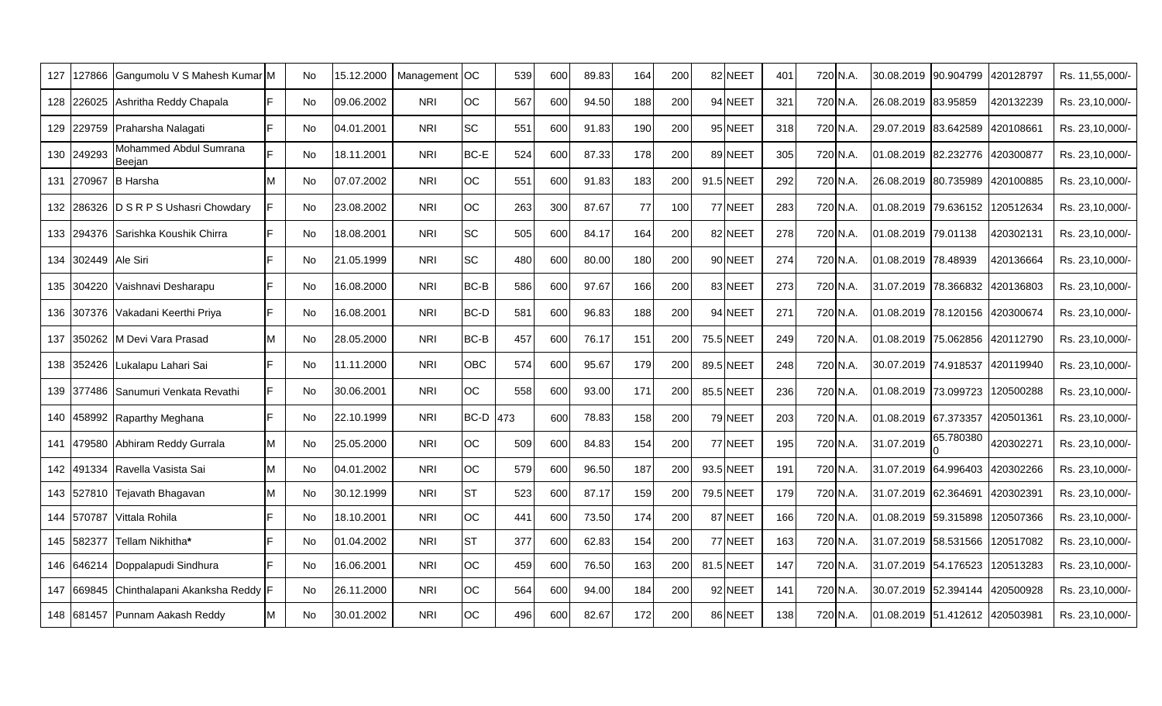| 127 |                 | 127866 Gangumolu V S Mahesh Kumar M |     | No        | 15.12.2000 | Management | <b>OC</b>   | 539 | 600 | 89.83 | 164 | 200 | 82 NEET   | 401 | 720 N.A. | I30.08.2019 I90.904799         |           | 420128797 | Rs. 11,55,000/- |
|-----|-----------------|-------------------------------------|-----|-----------|------------|------------|-------------|-----|-----|-------|-----|-----|-----------|-----|----------|--------------------------------|-----------|-----------|-----------------|
| 128 | 226025          | Ashritha Reddy Chapala              |     | No        | 09.06.2002 | <b>NRI</b> | <b>OC</b>   | 567 | 600 | 94.50 | 188 | 200 | 94 NEET   | 321 | 720 N.A. | 26.08.2019 83.95859            |           | 420132239 | Rs. 23,10,000/- |
| 129 |                 | 229759 Praharsha Nalagati           | E   | No        | 04.01.2001 | <b>NRI</b> | <b>SC</b>   | 551 | 600 | 91.83 | 190 | 200 | 95 NEET   | 318 | 720 N.A. | 29.07.2019 83.642589           |           | 420108661 | Rs. 23,10,000/- |
| 130 | 249293          | Mohammed Abdul Sumrana<br>Beejan    |     | No        | 18.11.2001 | <b>NRI</b> | <b>BC-E</b> | 524 | 600 | 87.33 | 178 | 200 | 89 NEET   | 305 | 720 N.A. | 01.08.2019 82.232776           |           | 420300877 | Rs. 23,10,000/- |
| 131 | 270967          | <b>B</b> Harsha                     | M   | <b>No</b> | 07.07.2002 | <b>NRI</b> | <b>OC</b>   | 551 | 600 | 91.83 | 183 | 200 | 91.5 NEET | 292 | 720 N.A. | 26.08.2019 80.735989 420100885 |           |           | Rs. 23,10,000/- |
| 132 |                 | 286326 D S R P S Ushasri Chowdary   |     | No        | 23.08.2002 | <b>NRI</b> | <b>OC</b>   | 263 | 300 | 87.67 | 77  | 100 | 77 NEET   | 283 | 720 N.A. | 01.08.2019 79.636152           |           | 120512634 | Rs. 23,10,000/- |
| 133 | 294376          | Sarishka Koushik Chirra             | E   | No        | 18.08.2001 | <b>NRI</b> | <b>SC</b>   | 505 | 600 | 84.17 | 164 | 200 | 82 NEET   | 278 | 720 N.A. | 01.08.2019 79.01138            |           | 420302131 | Rs. 23,10,000/- |
| 134 | 302449 Ale Siri |                                     | E   | No        | 21.05.1999 | <b>NRI</b> | <b>SC</b>   | 480 | 600 | 80.00 | 180 | 200 | 90 NEET   | 274 | 720 N.A. | 01.08.2019 78.48939            |           | 420136664 | Rs. 23,10,000/- |
| 135 |                 | 304220 Vaishnavi Desharapu          | IF. | No        | 16.08.2000 | <b>NRI</b> | BC-B        | 586 | 600 | 97.67 | 166 | 200 | 83 NEET   | 273 | 720 N.A. | 31.07.2019 78.366832 420136803 |           |           | Rs. 23,10,000/- |
| 136 |                 | 307376 Vakadani Keerthi Priya       |     | No        | 16.08.2001 | <b>NRI</b> | BC-D        | 581 | 600 | 96.83 | 188 | 200 | 94 NEET   | 271 | 720 N.A. | 01.08.2019 78.120156 420300674 |           |           | Rs. 23,10,000/- |
| 137 | 350262          | M Devi Vara Prasad                  | м   | No        | 28.05.2000 | <b>NRI</b> | BC-B        | 457 | 600 | 76.17 | 151 | 200 | 75.5 NEET | 249 | 720 N.A. | 01.08.2019 75.062856           |           | 420112790 | Rs. 23,10,000/- |
| 138 |                 | 352426 Lukalapu Lahari Sai          | F   | No        | 11.11.2000 | <b>NRI</b> | <b>OBC</b>  | 574 | 600 | 95.67 | 179 | 200 | 89.5 NEET | 248 | 720 N.A. | I30.07.2019 I74.918537         |           | 420119940 | Rs. 23,10,000/- |
| 139 |                 | 377486 Sanumuri Venkata Revathi     | F   | No        | 30.06.2001 | <b>NRI</b> | <b>OC</b>   | 558 | 600 | 93.00 | 171 | 200 | 85.5 NEET | 236 | 720 N.A. | 101.08.2019 73.099723 1        |           | 120500288 | Rs. 23,10,000/- |
| 140 |                 | 458992 Raparthy Meghana             | F   | No        | 22.10.1999 | <b>NRI</b> | BC-D        | 473 | 600 | 78.83 | 158 | 200 | 79 NEET   | 203 | 720 N.A. | 01.08.2019 67.373357           |           | 420501361 | Rs. 23,10,000/- |
| 141 | 179580          | Abhiram Reddy Gurrala               |     | No        | 25.05.2000 | <b>NRI</b> | <b>OC</b>   | 509 | 600 | 84.83 | 154 | 200 | 77 NEET   | 195 | 720 N.A. | 31.07.2019                     | 65.780380 | 420302271 | Rs. 23,10,000/- |
| 142 | 491334          | Ravella Vasista Sai                 |     | <b>No</b> | 04.01.2002 | <b>NRI</b> | <b>OC</b>   | 579 | 600 | 96.50 | 187 | 200 | 93.5 NEET | 191 | 720 N.A. | 31.07.2019 64.996403           |           | 420302266 | Rs. 23,10,000/- |
| 143 |                 | 527810 Tejavath Bhagavan            |     | No        | 30.12.1999 | <b>NRI</b> | <b>ST</b>   | 523 | 600 | 87.17 | 159 | 200 | 79.5 NEET | 179 | 720 N.A. | 31.07.2019 62.364691           |           | 420302391 | Rs. 23,10,000/- |
| 144 | 570787          | Vittala Rohila                      |     | No        | 18.10.2001 | <b>NRI</b> | <b>OC</b>   | 441 | 600 | 73.50 | 174 | 200 | 87 NEET   | 166 | 720 N.A. | 01.08.2019 59.315898           |           | 120507366 | Rs. 23,10,000/- |
| 145 | 582377          | Tellam Nikhitha*                    |     | <b>No</b> | 01.04.2002 | <b>NRI</b> | <b>ST</b>   | 377 | 600 | 62.83 | 154 | 200 | 77 NEET   | 163 | 720 N.A. | 31.07.2019 58.531566           |           | 120517082 | Rs. 23,10,000/- |
| 146 | 646214          | Doppalapudi Sindhura                | F   | No        | 16.06.2001 | <b>NRI</b> | <b>OC</b>   | 459 | 600 | 76.50 | 163 | 200 | 81.5 NEET | 147 | 720 N.A. | 31.07.2019 54.176523           |           | 120513283 | Rs. 23,10,000/- |
| 147 | 669845          | Chinthalapani Akanksha Reddy F      |     | <b>No</b> | 26.11.2000 | <b>NRI</b> | <b>OC</b>   | 564 | 600 | 94.00 | 184 | 200 | 92 NEET   | 141 | 720 N.A. | 30.07.2019 52.394144           |           | 420500928 | Rs. 23,10,000/- |
|     |                 | 148 681457 Punnam Aakash Reddy      |     | <b>No</b> | 30.01.2002 | <b>NRI</b> | <b>OC</b>   | 496 | 600 | 82.67 | 172 | 200 | 86 NEET   | 138 | 720 N.A. | 01.08.2019 51.412612 420503981 |           |           | Rs. 23,10,000/- |